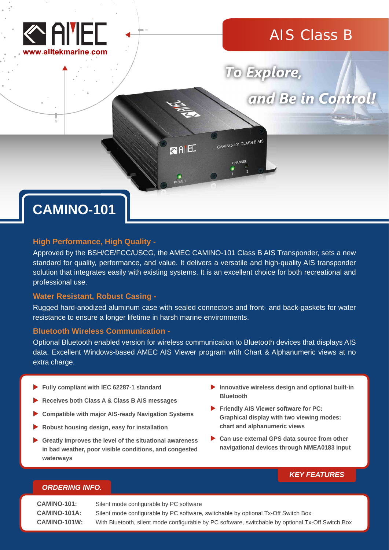

## AIS Class B

# To Explore,

and Be in Control!

CAMINO-101 CLASS B AIS **RAIEL** 

## **CAMINO-101**

## **High Performance, High Quality -**

Approved by the BSH/CE/FCC/USCG, the AMEC CAMINO-101 Class B AIS Transponder, sets a new standard for quality, performance, and value. It delivers a versatile and high-quality AIS transponder solution that integrates easily with existing systems. It is an excellent choice for both recreational and professional use.

## **Water Resistant, Robust Casing -**

Rugged hard-anodized aluminum case with sealed connectors and front- and back-gaskets for water resistance to ensure a longer lifetime in harsh marine environments.

## **Bluetooth Wireless Communication -**

Optional Bluetooth enabled version for wireless communication to Bluetooth devices that displays AIS data. Excellent Windows-based AMEC AIS Viewer program with Chart & Alphanumeric views at no extra charge.

- **Fully compliant with IEC 62287-1 standard**
- **Receives both Class A & Class B AIS messages**
- **Compatible with major AIS-ready Navigation Systems**
- **Robust housing design, easy for installation**
- **Greatly improves the level of the situational awareness in bad weather, poor visible conditions, and congested waterways**
- **Innovative wireless design and optional built-in Bluetooth**
- **Friendly AIS Viewer software for PC: Graphical display with two viewing modes: chart and alphanumeric views**
- ▶ Can use external GPS data source from other **navigational devices through NMEA0183 input**

## *KEY FEATURES*

## *ORDERING INFO.*

**CAMINO-101:** Silent mode configurable by PC software **CAMINO-101A:** Silent mode configurable by PC software, switchable by optional Tx-Off Switch Box **CAMINO-101W:** With Bluetooth, silent mode configurable by PC software, switchable by optional Tx-Off Switch Box